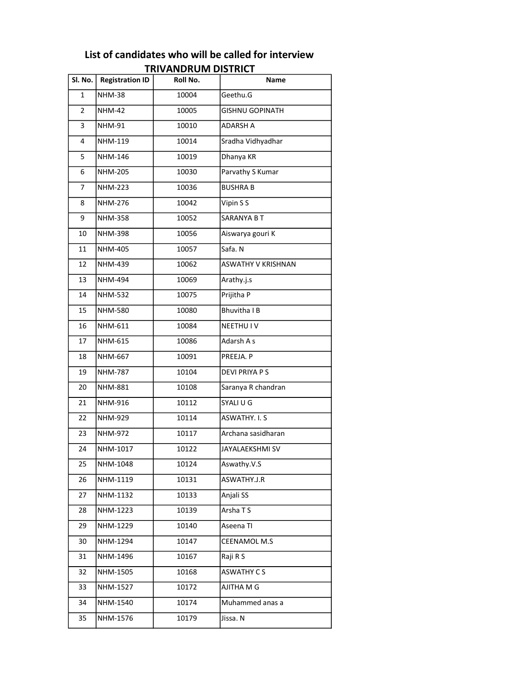| Sl. No.        | <b>Registration ID</b> | ו הועמוכוש ומוטחשמאותו<br>Roll No. | Name                      |
|----------------|------------------------|------------------------------------|---------------------------|
|                |                        |                                    | Geethu.G                  |
| $\mathbf{1}$   | <b>NHM-38</b>          | 10004                              |                           |
| $\overline{2}$ | <b>NHM-42</b>          | 10005                              | GISHNU GOPINATH           |
| 3              | <b>NHM-91</b>          | 10010                              | <b>ADARSH A</b>           |
| 4              | NHM-119                | 10014                              | Sradha Vidhyadhar         |
| 5              | NHM-146                | 10019                              | Dhanya KR                 |
| 6              | <b>NHM-205</b>         | 10030                              | Parvathy S Kumar          |
| $\overline{7}$ | <b>NHM-223</b>         | 10036                              | <b>BUSHRAB</b>            |
| 8              | <b>NHM-276</b>         | 10042                              | Vipin S S                 |
| 9              | <b>NHM-358</b>         | 10052                              | SARANYA B T               |
| 10             | <b>NHM-398</b>         | 10056                              | Aiswarya gouri K          |
| 11             | <b>NHM-405</b>         | 10057                              | Safa. N                   |
| 12             | NHM-439                | 10062                              | <b>ASWATHY V KRISHNAN</b> |
| 13             | <b>NHM-494</b>         | 10069                              | Arathy.j.s                |
| 14             | <b>NHM-532</b>         | 10075                              | Prijitha P                |
| 15             | NHM-580                | 10080                              | <b>Bhuvitha IB</b>        |
| 16             | NHM-611                | 10084                              | <b>NEETHU IV</b>          |
| 17             | NHM-615                | 10086                              | Adarsh A s                |
| 18             | NHM-667                | 10091                              | PREEJA. P                 |
| 19             | <b>NHM-787</b>         | 10104                              | <b>DEVI PRIYA P S</b>     |
| 20             | <b>NHM-881</b>         | 10108                              | Saranya R chandran        |
| 21             | NHM-916                | 10112                              | SYALI U G                 |
| 22             | NHM-929                | 10114                              | <b>ASWATHY. I.S</b>       |
| 23             | NHM-972                | 10117                              | Archana sasidharan        |
| 24             | NHM-1017               | 10122                              | JAYALAEKSHMI SV           |
| 25             | NHM-1048               | 10124                              | Aswathy.V.S               |
| 26             | NHM-1119               | 10131                              | ASWATHY.J.R               |
| 27             | NHM-1132               | 10133                              | Anjali SS                 |
| 28             | NHM-1223               | 10139                              | Arsha T S                 |
| 29             | NHM-1229               | 10140                              | Aseena TI                 |
| 30             | NHM-1294               | 10147                              | CEENAMOL M.S              |
| 31             | NHM-1496               | 10167                              | Raji R S                  |
| 32             | NHM-1505               | 10168                              | ASWATHY CS                |
| 33             | NHM-1527               | 10172                              | AJITHA M G                |
| 34             | NHM-1540               | 10174                              | Muhammed anas a           |
| 35             | NHM-1576               | 10179                              | Jissa. N                  |

## List of candidates who will be called for interview TRIVANDRUM DISTRICT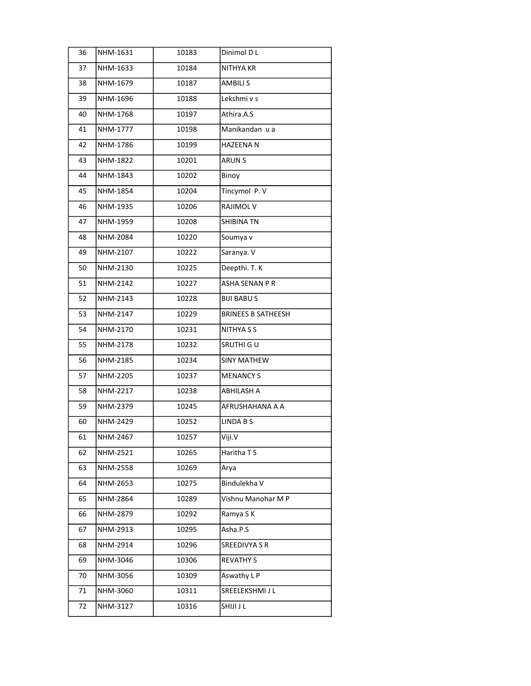| 36 | NHM-1631 | 10183 | Dinimol D L               |
|----|----------|-------|---------------------------|
| 37 | NHM-1633 | 10184 | NITHYA KR                 |
| 38 | NHM-1679 | 10187 | <b>AMBILI S</b>           |
| 39 | NHM-1696 | 10188 | Lekshmi v s               |
| 40 | NHM-1768 | 10197 | Athira.A.S                |
| 41 | NHM-1777 | 10198 | Manikandan u a            |
| 42 | NHM-1786 | 10199 | <b>HAZEENAN</b>           |
| 43 | NHM-1822 | 10201 | <b>ARUN S</b>             |
| 44 | NHM-1843 | 10202 | Binoy                     |
| 45 | NHM-1854 | 10204 | Tincymol P.V              |
| 46 | NHM-1935 | 10206 | RAJIMOL V                 |
| 47 | NHM-1959 | 10208 | <b>SHIBINA TN</b>         |
| 48 | NHM-2084 | 10220 | Soumya v                  |
| 49 | NHM-2107 | 10222 | Saranya. V                |
| 50 | NHM-2130 | 10225 | Deepthi. T. K             |
| 51 | NHM-2142 | 10227 | <b>ASHA SENAN P R</b>     |
| 52 | NHM-2143 | 10228 | <b>BIJI BABUS</b>         |
| 53 | NHM-2147 | 10229 | <b>BRINEES B SATHEESH</b> |
| 54 | NHM-2170 | 10231 | NITHYA S S                |
| 55 | NHM-2178 | 10232 | SRUTHI GU                 |
| 56 | NHM-2185 | 10234 | <b>SINY MATHEW</b>        |
| 57 | NHM-2205 | 10237 | <b>MENANCY S</b>          |
| 58 | NHM-2217 | 10238 | ABHILASH A                |
| 59 | NHM-2379 | 10245 | AFRUSHAHANA A A           |
| 60 | NHM-2429 | 10252 | LINDA B S                 |
| 61 | NHM-2467 | 10257 | Viji.V                    |
| 62 | NHM-2521 | 10265 | Haritha TS                |
| 63 | NHM-2558 | 10269 | Arya                      |
| 64 | NHM-2653 | 10275 | Bindulekha V              |
| 65 | NHM-2864 | 10289 | Vishnu Manohar M P        |
| 66 | NHM-2879 | 10292 | Ramya S K                 |
| 67 | NHM-2913 | 10295 | Asha.P.S                  |
| 68 | NHM-2914 | 10296 | SREEDIVYA S R             |
| 69 | NHM-3046 | 10306 | <b>REVATHY S</b>          |
| 70 | NHM-3056 | 10309 | Aswathy L P               |
| 71 | NHM-3060 | 10311 | SREELEKSHMI J L           |
| 72 | NHM-3127 | 10316 | SHIJI J L                 |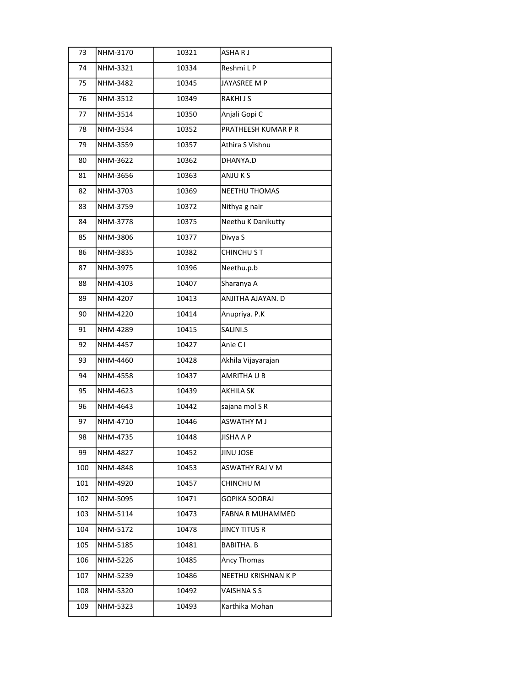| 73  | NHM-3170 | 10321 | ASHARJ              |
|-----|----------|-------|---------------------|
| 74  | NHM-3321 | 10334 | Reshmi L P          |
| 75  | NHM-3482 | 10345 | JAYASREE M P        |
| 76  | NHM-3512 | 10349 | RAKHI J S           |
| 77  | NHM-3514 | 10350 | Anjali Gopi C       |
| 78  | NHM-3534 | 10352 | PRATHEESH KUMAR P R |
| 79  | NHM-3559 | 10357 | Athira S Vishnu     |
| 80  | NHM-3622 | 10362 | DHANYA.D            |
| 81  | NHM-3656 | 10363 | ANJU K S            |
| 82  | NHM-3703 | 10369 | NEETHU THOMAS       |
| 83  | NHM-3759 | 10372 | Nithya g nair       |
| 84  | NHM-3778 | 10375 | Neethu K Danikutty  |
| 85  | NHM-3806 | 10377 | Divya S             |
| 86  | NHM-3835 | 10382 | CHINCHU ST          |
| 87  | NHM-3975 | 10396 | Neethu.p.b          |
| 88  | NHM-4103 | 10407 | Sharanya A          |
| 89  | NHM-4207 | 10413 | ANJITHA AJAYAN. D   |
| 90  | NHM-4220 | 10414 | Anupriya. P.K       |
| 91  | NHM-4289 | 10415 | SALINI.S            |
| 92  | NHM-4457 | 10427 | Anie C I            |
| 93  | NHM-4460 | 10428 | Akhila Vijayarajan  |
| 94  | NHM-4558 | 10437 | AMRITHAUB           |
| 95  | NHM-4623 | 10439 | <b>AKHILA SK</b>    |
| 96  | NHM-4643 | 10442 | sajana mol S R      |
| 97  | NHM-4710 | 10446 | <b>ASWATHY M J</b>  |
| 98  | NHM-4735 | 10448 | <b>JISHA A P</b>    |
| 99  | NHM-4827 | 10452 | JINU JOSE           |
| 100 | NHM-4848 | 10453 | ASWATHY RAJ V M     |
| 101 | NHM-4920 | 10457 | CHINCHU M           |
| 102 | NHM-5095 | 10471 | GOPIKA SOORAJ       |
| 103 | NHM-5114 | 10473 | FABNA R MUHAMMED    |
| 104 | NHM-5172 | 10478 | JINCY TITUS R       |
| 105 | NHM-5185 | 10481 | <b>BABITHA. B</b>   |
| 106 | NHM-5226 | 10485 | Ancy Thomas         |
| 107 | NHM-5239 | 10486 | NEETHU KRISHNAN K P |
| 108 | NHM-5320 | 10492 | VAISHNA S S         |
| 109 | NHM-5323 | 10493 | Karthika Mohan      |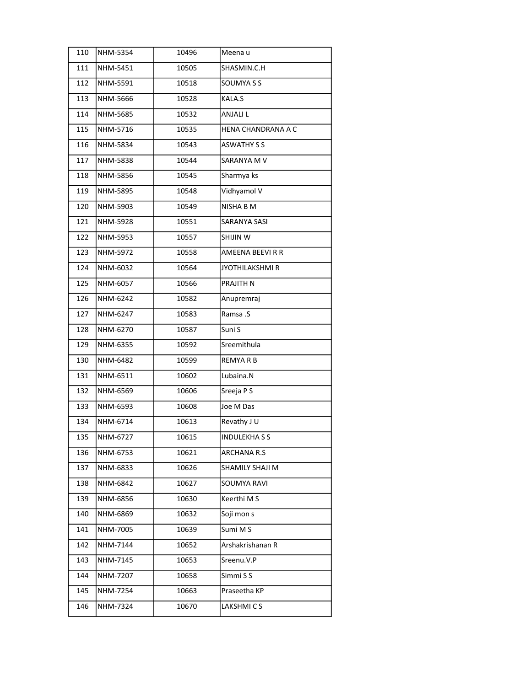| 110 | NHM-5354 | 10496 | Meena u                |
|-----|----------|-------|------------------------|
| 111 | NHM-5451 | 10505 | SHASMIN.C.H            |
| 112 | NHM-5591 | 10518 | SOUMYA S S             |
| 113 | NHM-5666 | 10528 | KALA.S                 |
| 114 | NHM-5685 | 10532 | ANJALI L               |
| 115 | NHM-5716 | 10535 | HENA CHANDRANA A C     |
| 116 | NHM-5834 | 10543 | <b>ASWATHY S S</b>     |
| 117 | NHM-5838 | 10544 | SARANYA M V            |
| 118 | NHM-5856 | 10545 | Sharmya ks             |
| 119 | NHM-5895 | 10548 | Vidhyamol V            |
| 120 | NHM-5903 | 10549 | NISHA B M              |
| 121 | NHM-5928 | 10551 | SARANYA SASI           |
| 122 | NHM-5953 | 10557 | SHIJIN W               |
| 123 | NHM-5972 | 10558 | AMEENA BEEVIRR         |
| 124 | NHM-6032 | 10564 | <b>JYOTHILAKSHMI R</b> |
| 125 | NHM-6057 | 10566 | PRAJITH N              |
| 126 | NHM-6242 | 10582 | Anupremraj             |
| 127 | NHM-6247 | 10583 | Ramsa .S               |
| 128 | NHM-6270 | 10587 | Suni S                 |
| 129 | NHM-6355 | 10592 | Sreemithula            |
| 130 | NHM-6482 | 10599 | <b>REMYARB</b>         |
| 131 | NHM-6511 | 10602 | Lubaina.N              |
| 132 | NHM-6569 | 10606 | Sreeja P S             |
| 133 | NHM-6593 | 10608 | Joe M Das              |
| 134 | NHM-6714 | 10613 | Revathy JU             |
| 135 | NHM-6727 | 10615 | <b>INDULEKHASS</b>     |
| 136 | NHM-6753 | 10621 | ARCHANA R.S            |
| 137 | NHM-6833 | 10626 | SHAMILY SHAJI M        |
| 138 | NHM-6842 | 10627 | <b>SOUMYA RAVI</b>     |
| 139 | NHM-6856 | 10630 | Keerthi M S            |
| 140 | NHM-6869 | 10632 | Soji mon s             |
| 141 | NHM-7005 | 10639 | Sumi M S               |
| 142 | NHM-7144 | 10652 | Arshakrishanan R       |
| 143 | NHM-7145 | 10653 | Sreenu.V.P             |
| 144 | NHM-7207 | 10658 | Simmi S S              |
| 145 | NHM-7254 | 10663 | Praseetha KP           |
| 146 | NHM-7324 | 10670 | LAKSHMICS              |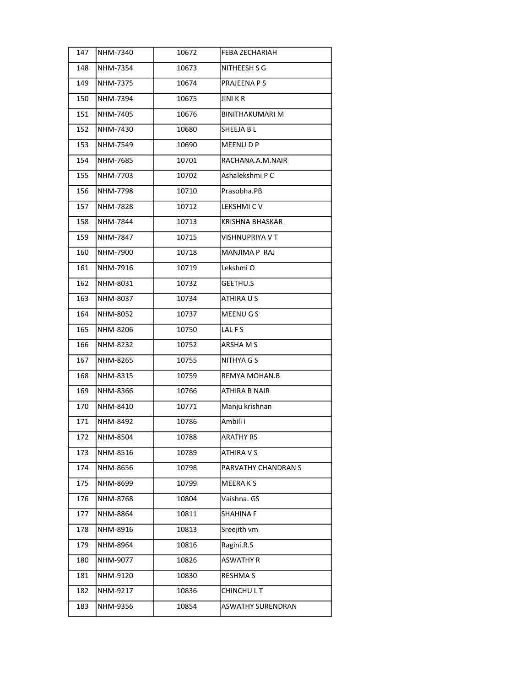| 147 | NHM-7340 | 10672 | FEBA ZECHARIAH           |
|-----|----------|-------|--------------------------|
| 148 | NHM-7354 | 10673 | NITHEESH S G             |
| 149 | NHM-7375 | 10674 | PRAJEENA P S             |
| 150 | NHM-7394 | 10675 | <b>JINIKR</b>            |
| 151 | NHM-7405 | 10676 | <b>BINITHAKUMARI M</b>   |
| 152 | NHM-7430 | 10680 | SHEEJA B L               |
| 153 | NHM-7549 | 10690 | MEENU D P                |
| 154 | NHM-7685 | 10701 | RACHANA.A.M.NAIR         |
| 155 | NHM-7703 | 10702 | Ashalekshmi P C          |
| 156 | NHM-7798 | 10710 | Prasobha.PB              |
| 157 | NHM-7828 | 10712 | LEKSHMI CV               |
| 158 | NHM-7844 | 10713 | KRISHNA BHASKAR          |
| 159 | NHM-7847 | 10715 | VISHNUPRIYA V T          |
| 160 | NHM-7900 | 10718 | MANJIMA P RAJ            |
| 161 | NHM-7916 | 10719 | Lekshmi O                |
| 162 | NHM-8031 | 10732 | <b>GEETHU.S</b>          |
| 163 | NHM-8037 | 10734 | ATHIRA U S               |
| 164 | NHM-8052 | 10737 | MEENU G S                |
| 165 | NHM-8206 | 10750 | LAL FS                   |
| 166 | NHM-8232 | 10752 | ARSHAM <sub>S</sub>      |
| 167 | NHM-8265 | 10755 | NITHYA G S               |
| 168 | NHM-8315 | 10759 | REMYA MOHAN.B            |
| 169 | NHM-8366 | 10766 | ATHIRA B NAIR            |
| 170 | NHM-8410 | 10771 | Manju krishnan           |
| 171 | NHM-8492 | 10786 | Ambili i                 |
| 172 | NHM-8504 | 10788 | <b>ARATHY RS</b>         |
| 173 | NHM-8516 | 10789 | ATHIRA V S               |
| 174 | NHM-8656 | 10798 | PARVATHY CHANDRAN S      |
| 175 | NHM-8699 | 10799 | MEERAKS                  |
| 176 | NHM-8768 | 10804 | Vaishna. GS              |
| 177 | NHM-8864 | 10811 | SHAHINA F                |
| 178 | NHM-8916 | 10813 | Sreejith vm              |
| 179 | NHM-8964 | 10816 | Ragini.R.S               |
| 180 | NHM-9077 | 10826 | <b>ASWATHY R</b>         |
| 181 | NHM-9120 | 10830 | RESHMA S                 |
| 182 | NHM-9217 | 10836 | <b>CHINCHULT</b>         |
| 183 | NHM-9356 | 10854 | <b>ASWATHY SURENDRAN</b> |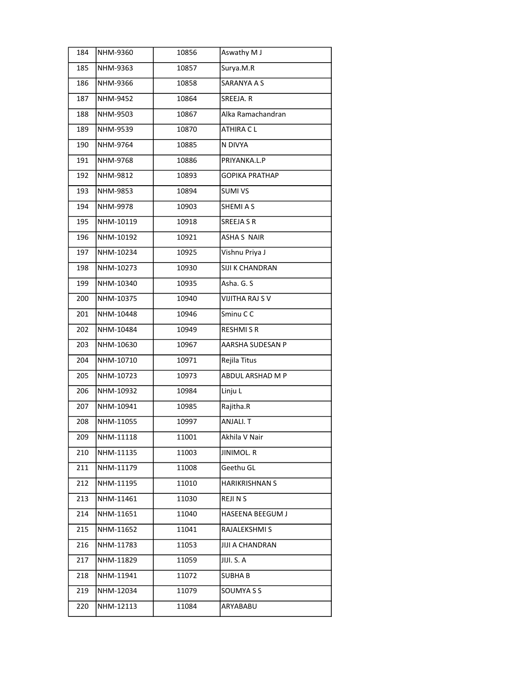| 184 | NHM-9360  | 10856 | Aswathy M J            |
|-----|-----------|-------|------------------------|
| 185 | NHM-9363  | 10857 | Surya.M.R              |
| 186 | NHM-9366  | 10858 | SARANYA A S            |
| 187 | NHM-9452  | 10864 | SREEJA. R              |
| 188 | NHM-9503  | 10867 | Alka Ramachandran      |
| 189 | NHM-9539  | 10870 | ATHIRA C L             |
| 190 | NHM-9764  | 10885 | N DIVYA                |
| 191 | NHM-9768  | 10886 | PRIYANKA.L.P           |
| 192 | NHM-9812  | 10893 | <b>GOPIKA PRATHAP</b>  |
| 193 | NHM-9853  | 10894 | <b>SUMI VS</b>         |
| 194 | NHM-9978  | 10903 | SHEMI A S              |
| 195 | NHM-10119 | 10918 | SREEJA S R             |
| 196 | NHM-10192 | 10921 | <b>ASHA S NAIR</b>     |
| 197 | NHM-10234 | 10925 | Vishnu Priya J         |
| 198 | NHM-10273 | 10930 | SIJI K CHANDRAN        |
| 199 | NHM-10340 | 10935 | Asha. G. S             |
| 200 | NHM-10375 | 10940 | VIJITHA RAJ S V        |
| 201 | NHM-10448 | 10946 | Sminu CC               |
| 202 | NHM-10484 | 10949 | <b>RESHMISR</b>        |
| 203 | NHM-10630 | 10967 | AARSHA SUDESAN P       |
| 204 | NHM-10710 | 10971 | Rejila Titus           |
| 205 | NHM-10723 | 10973 | ABDUL ARSHAD M P       |
| 206 | NHM-10932 | 10984 | Linju L                |
| 207 | NHM-10941 | 10985 | Rajitha.R              |
| 208 | NHM-11055 | 10997 | ANJALI. T              |
| 209 | NHM-11118 | 11001 | Akhila V Nair          |
| 210 | NHM-11135 | 11003 | <b>JINIMOL. R</b>      |
| 211 | NHM-11179 | 11008 | Geethu GL              |
| 212 | NHM-11195 | 11010 | HARIKRISHNAN S         |
| 213 | NHM-11461 | 11030 | <b>REJINS</b>          |
| 214 | NHM-11651 | 11040 | HASEENA BEEGUM J       |
| 215 | NHM-11652 | 11041 | RAJALEKSHMI S          |
| 216 | NHM-11783 | 11053 | <b>JIJI A CHANDRAN</b> |
| 217 | NHM-11829 | 11059 | JIJI. S. A             |
| 218 | NHM-11941 | 11072 | <b>SUBHAB</b>          |
| 219 | NHM-12034 | 11079 | SOUMYA S S             |
| 220 | NHM-12113 | 11084 | ARYABABU               |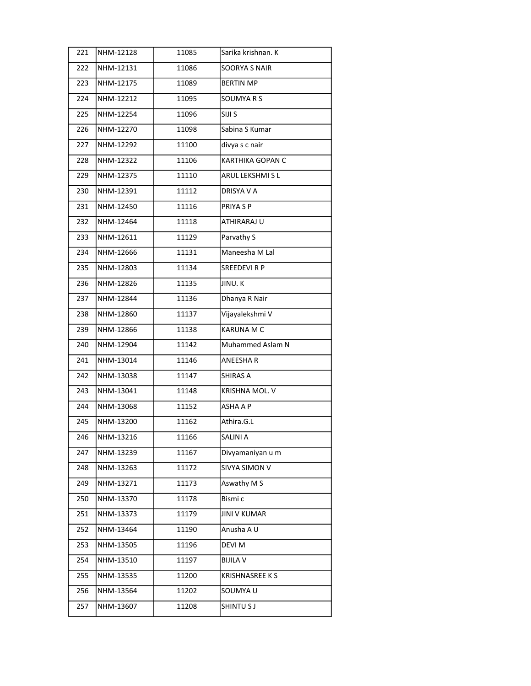| 221 | NHM-12128 | 11085 | Sarika krishnan. K    |
|-----|-----------|-------|-----------------------|
| 222 | NHM-12131 | 11086 | <b>SOORYA S NAIR</b>  |
| 223 | NHM-12175 | 11089 | <b>BERTIN MP</b>      |
| 224 | NHM-12212 | 11095 | SOUMYA R S            |
| 225 | NHM-12254 | 11096 | SIJI S                |
| 226 | NHM-12270 | 11098 | Sabina S Kumar        |
| 227 | NHM-12292 | 11100 | divya s c nair        |
| 228 | NHM-12322 | 11106 | KARTHIKA GOPAN C      |
| 229 | NHM-12375 | 11110 | ARUL LEKSHMI S L      |
| 230 | NHM-12391 | 11112 | DRISYA V A            |
| 231 | NHM-12450 | 11116 | PRIYA S P             |
| 232 | NHM-12464 | 11118 | ATHIRARAJ U           |
| 233 | NHM-12611 | 11129 | Parvathy S            |
| 234 | NHM-12666 | 11131 | Maneesha M Lal        |
| 235 | NHM-12803 | 11134 | <b>SREEDEVIRP</b>     |
| 236 | NHM-12826 | 11135 | JINU.K                |
| 237 | NHM-12844 | 11136 | Dhanya R Nair         |
| 238 | NHM-12860 | 11137 | Vijayalekshmi V       |
| 239 | NHM-12866 | 11138 | <b>KARUNA M C</b>     |
| 240 | NHM-12904 | 11142 | Muhammed Aslam N      |
| 241 | NHM-13014 | 11146 | <b>ANEESHAR</b>       |
| 242 | NHM-13038 | 11147 | SHIRAS A              |
| 243 | NHM-13041 | 11148 | KRISHNA MOL. V        |
| 244 | NHM-13068 | 11152 | ASHA A P              |
| 245 | NHM-13200 | 11162 | Athira.G.L            |
| 246 | NHM-13216 | 11166 | SALINI A              |
| 247 | NHM-13239 | 11167 | Divyamaniyan u m      |
| 248 | NHM-13263 | 11172 | SIVYA SIMON V         |
| 249 | NHM-13271 | 11173 | Aswathy M S           |
| 250 | NHM-13370 | 11178 | Bismi c               |
| 251 | NHM-13373 | 11179 | <b>JINI V KUMAR</b>   |
| 252 | NHM-13464 | 11190 | Anusha A U            |
| 253 | NHM-13505 | 11196 | DEVI M                |
| 254 | NHM-13510 | 11197 | <b>BIJILA V</b>       |
| 255 | NHM-13535 | 11200 | <b>KRISHNASREE KS</b> |
| 256 | NHM-13564 | 11202 | SOUMYA U              |
| 257 | NHM-13607 | 11208 | SHINTU S J            |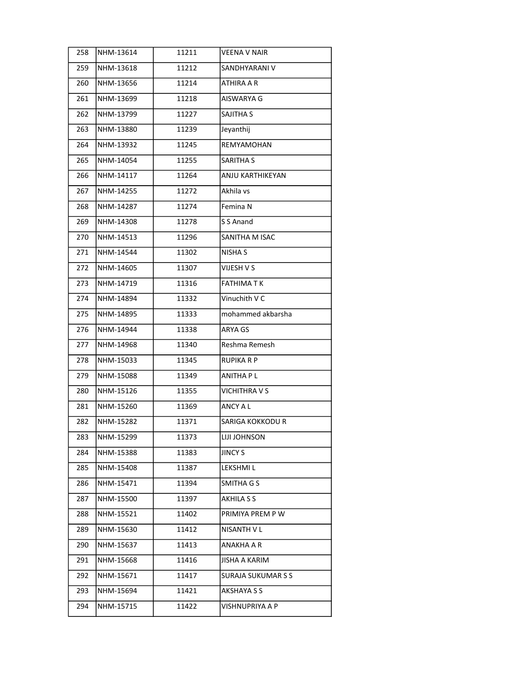| 258 | NHM-13614 | 11211 | <b>VEENA V NAIR</b>       |
|-----|-----------|-------|---------------------------|
| 259 | NHM-13618 | 11212 | SANDHYARANI V             |
| 260 | NHM-13656 | 11214 | ATHIRA A R                |
| 261 | NHM-13699 | 11218 | AISWARYA G                |
| 262 | NHM-13799 | 11227 | SAJITHA S                 |
| 263 | NHM-13880 | 11239 | Jeyanthij                 |
| 264 | NHM-13932 | 11245 | REMYAMOHAN                |
| 265 | NHM-14054 | 11255 | <b>SARITHA S</b>          |
| 266 | NHM-14117 | 11264 | ANJU KARTHIKEYAN          |
| 267 | NHM-14255 | 11272 | Akhila vs                 |
| 268 | NHM-14287 | 11274 | Femina N                  |
| 269 | NHM-14308 | 11278 | S S Anand                 |
| 270 | NHM-14513 | 11296 | SANITHA M ISAC            |
| 271 | NHM-14544 | 11302 | <b>NISHA S</b>            |
| 272 | NHM-14605 | 11307 | VIJESH V S                |
| 273 | NHM-14719 | 11316 | FATHIMA T K               |
| 274 | NHM-14894 | 11332 | Vinuchith V C             |
| 275 | NHM-14895 | 11333 | mohammed akbarsha         |
| 276 | NHM-14944 | 11338 | ARYA GS                   |
| 277 | NHM-14968 | 11340 | Reshma Remesh             |
| 278 | NHM-15033 | 11345 | RUPIKA R P                |
| 279 | NHM-15088 | 11349 | <b>ANITHA PL</b>          |
| 280 | NHM-15126 | 11355 | <b>VICHITHRA V S</b>      |
| 281 | NHM-15260 | 11369 | <b>ANCY A L</b>           |
| 282 | NHM-15282 | 11371 | SARIGA KOKKODU R          |
| 283 | NHM-15299 | 11373 | LIJI JOHNSON              |
| 284 | NHM-15388 | 11383 | <b>JINCY S</b>            |
| 285 | NHM-15408 | 11387 | LEKSHMI L                 |
| 286 | NHM-15471 | 11394 | SMITHA G S                |
| 287 | NHM-15500 | 11397 | AKHILA S S                |
| 288 | NHM-15521 | 11402 | PRIMIYA PREM P W          |
| 289 | NHM-15630 | 11412 | NISANTH V L               |
| 290 | NHM-15637 | 11413 | ANAKHA A R                |
| 291 | NHM-15668 | 11416 | <b>JISHA A KARIM</b>      |
| 292 | NHM-15671 | 11417 | <b>SURAJA SUKUMAR S S</b> |
| 293 | NHM-15694 | 11421 | <b>AKSHAYA S S</b>        |
| 294 | NHM-15715 | 11422 | VISHNUPRIYA A P           |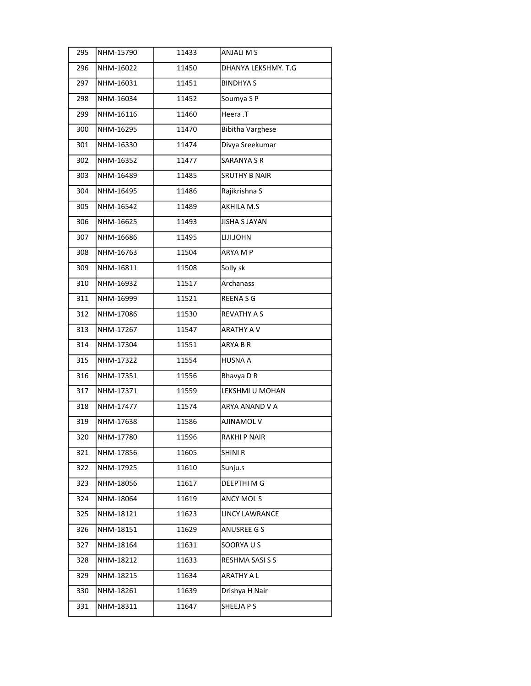| 295 | NHM-15790 | 11433 | ANJALI M S              |
|-----|-----------|-------|-------------------------|
| 296 | NHM-16022 | 11450 | DHANYA LEKSHMY. T.G     |
| 297 | NHM-16031 | 11451 | <b>BINDHYAS</b>         |
| 298 | NHM-16034 | 11452 | Soumya SP               |
| 299 | NHM-16116 | 11460 | Heera .T                |
| 300 | NHM-16295 | 11470 | <b>Bibitha Varghese</b> |
| 301 | NHM-16330 | 11474 | Divya Sreekumar         |
| 302 | NHM-16352 | 11477 | <b>SARANYA S R</b>      |
| 303 | NHM-16489 | 11485 | <b>SRUTHY B NAIR</b>    |
| 304 | NHM-16495 | 11486 | Rajikrishna S           |
| 305 | NHM-16542 | 11489 | AKHILA M.S              |
| 306 | NHM-16625 | 11493 | <b>JISHA S JAYAN</b>    |
| 307 | NHM-16686 | 11495 | LIJI.JOHN               |
| 308 | NHM-16763 | 11504 | ARYA M P                |
| 309 | NHM-16811 | 11508 | Solly sk                |
| 310 | NHM-16932 | 11517 | Archanass               |
| 311 | NHM-16999 | 11521 | REENA S G               |
| 312 | NHM-17086 | 11530 | <b>REVATHY A S</b>      |
| 313 | NHM-17267 | 11547 | <b>ARATHY A V</b>       |
| 314 | NHM-17304 | 11551 | ARYA B R                |
| 315 | NHM-17322 | 11554 | <b>HUSNA A</b>          |
| 316 | NHM-17351 | 11556 | Bhavya D R              |
| 317 | NHM-17371 | 11559 | LEKSHMI U MOHAN         |
| 318 | NHM-17477 | 11574 | ARYA ANAND V A          |
| 319 | NHM-17638 | 11586 | AJINAMOL V              |
| 320 | NHM-17780 | 11596 | RAKHI P NAIR            |
| 321 | NHM-17856 | 11605 | <b>SHINIR</b>           |
| 322 | NHM-17925 | 11610 | Sunju.s                 |
| 323 | NHM-18056 | 11617 | DEEPTHI M G             |
| 324 | NHM-18064 | 11619 | ANCY MOLS               |
| 325 | NHM-18121 | 11623 | LINCY LAWRANCE          |
| 326 | NHM-18151 | 11629 | ANUSREE G S             |
| 327 | NHM-18164 | 11631 | SOORYAUS                |
| 328 | NHM-18212 | 11633 | RESHMA SASI S S         |
| 329 | NHM-18215 | 11634 | ARATHY A L              |
| 330 | NHM-18261 | 11639 | Drishya H Nair          |
| 331 | NHM-18311 | 11647 | SHEEJA P S              |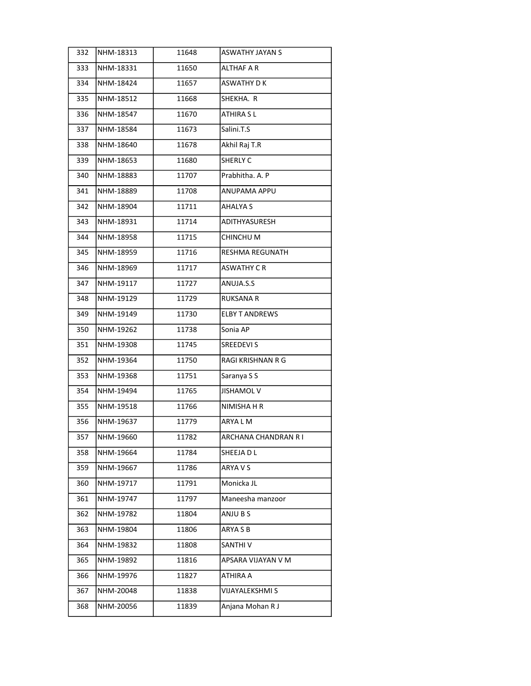| 332 | NHM-18313 | 11648 | <b>ASWATHY JAYAN S</b> |
|-----|-----------|-------|------------------------|
| 333 | NHM-18331 | 11650 | ALTHAF A R             |
| 334 | NHM-18424 | 11657 | ASWATHY D K            |
| 335 | NHM-18512 | 11668 | SHEKHA. R              |
| 336 | NHM-18547 | 11670 | ATHIRA SL              |
| 337 | NHM-18584 | 11673 | Salini.T.S             |
| 338 | NHM-18640 | 11678 | Akhil Raj T.R          |
| 339 | NHM-18653 | 11680 | SHERLY C               |
| 340 | NHM-18883 | 11707 | Prabhitha. A. P        |
| 341 | NHM-18889 | 11708 | ANUPAMA APPU           |
| 342 | NHM-18904 | 11711 | AHALYA S               |
| 343 | NHM-18931 | 11714 | ADITHYASURESH          |
| 344 | NHM-18958 | 11715 | CHINCHU M              |
| 345 | NHM-18959 | 11716 | <b>RESHMA REGUNATH</b> |
| 346 | NHM-18969 | 11717 | <b>ASWATHY CR</b>      |
| 347 | NHM-19117 | 11727 | ANUJA.S.S              |
| 348 | NHM-19129 | 11729 | <b>RUKSANA R</b>       |
| 349 | NHM-19149 | 11730 | <b>ELBY T ANDREWS</b>  |
| 350 | NHM-19262 | 11738 | Sonia AP               |
| 351 | NHM-19308 | 11745 | <b>SREEDEVIS</b>       |
| 352 | NHM-19364 | 11750 | RAGI KRISHNAN R G      |
| 353 | NHM-19368 | 11751 | Saranya S S            |
| 354 | NHM-19494 | 11765 | <b>JISHAMOL V</b>      |
| 355 | NHM-19518 | 11766 | NIMISHA H R            |
| 356 | NHM-19637 | 11779 | ARYA L M               |
| 357 | NHM-19660 | 11782 | ARCHANA CHANDRAN R I   |
| 358 | NHM-19664 | 11784 | SHEEJA D L             |
| 359 | NHM-19667 | 11786 | ARYA V S               |
| 360 | NHM-19717 | 11791 | Monicka JL             |
| 361 | NHM-19747 | 11797 | Maneesha manzoor       |
| 362 | NHM-19782 | 11804 | ANJU B S               |
| 363 | NHM-19804 | 11806 | ARYA S B               |
| 364 | NHM-19832 | 11808 | SANTHIV                |
| 365 | NHM-19892 | 11816 | APSARA VIJAYAN V M     |
| 366 | NHM-19976 | 11827 | ATHIRA A               |
| 367 | NHM-20048 | 11838 | VIJAYALEKSHMI S        |
| 368 | NHM-20056 | 11839 | Anjana Mohan R J       |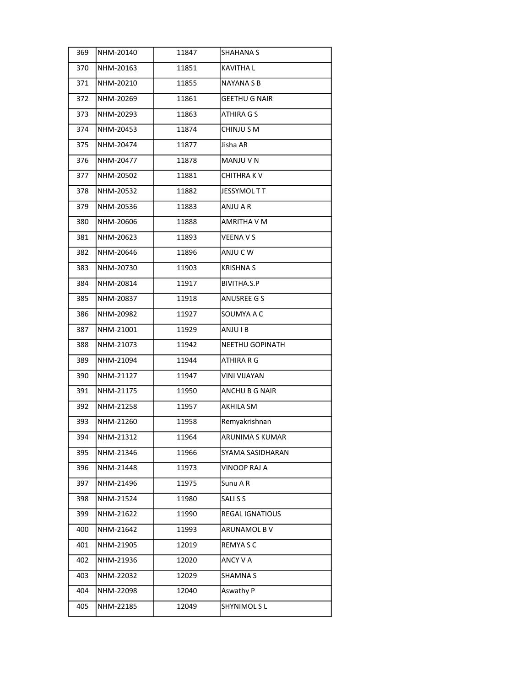| 369 | NHM-20140 | 11847 | SHAHANA S              |
|-----|-----------|-------|------------------------|
| 370 | NHM-20163 | 11851 | KAVITHA L              |
| 371 | NHM-20210 | 11855 | NAYANA S B             |
| 372 | NHM-20269 | 11861 | <b>GEETHU G NAIR</b>   |
| 373 | NHM-20293 | 11863 | ATHIRA G S             |
| 374 | NHM-20453 | 11874 | CHINJU S M             |
| 375 | NHM-20474 | 11877 | Jisha AR               |
| 376 | NHM-20477 | 11878 | MANJU V N              |
| 377 | NHM-20502 | 11881 | CHITHRA K V            |
| 378 | NHM-20532 | 11882 | JESSYMOL T T           |
| 379 | NHM-20536 | 11883 | ANJU A R               |
| 380 | NHM-20606 | 11888 | AMRITHA V M            |
| 381 | NHM-20623 | 11893 | <b>VEENA V S</b>       |
| 382 | NHM-20646 | 11896 | ANJUCW                 |
| 383 | NHM-20730 | 11903 | <b>KRISHNAS</b>        |
| 384 | NHM-20814 | 11917 | BIVITHA.S.P            |
| 385 | NHM-20837 | 11918 | <b>ANUSREE G S</b>     |
| 386 | NHM-20982 | 11927 | SOUMYA A C             |
| 387 | NHM-21001 | 11929 | ANJUIB                 |
| 388 | NHM-21073 | 11942 | <b>NEETHU GOPINATH</b> |
| 389 | NHM-21094 | 11944 | ATHIRA R G             |
| 390 | NHM-21127 | 11947 | <b>VINI VIJAYAN</b>    |
| 391 | NHM-21175 | 11950 | ANCHU B G NAIR         |
| 392 | NHM-21258 | 11957 | <b>AKHILA SM</b>       |
| 393 | NHM-21260 | 11958 | Remyakrishnan          |
| 394 | NHM-21312 | 11964 | ARUNIMA S KUMAR        |
| 395 | NHM-21346 | 11966 | SYAMA SASIDHARAN       |
| 396 | NHM-21448 | 11973 | VINOOP RAJ A           |
| 397 | NHM-21496 | 11975 | Sunu A R               |
| 398 | NHM-21524 | 11980 | SALI S S               |
| 399 | NHM-21622 | 11990 | REGAL IGNATIOUS        |
| 400 | NHM-21642 | 11993 | ARUNAMOL B V           |
| 401 | NHM-21905 | 12019 | REMYA S C              |
| 402 | NHM-21936 | 12020 | ANCY V A               |
| 403 | NHM-22032 | 12029 | <b>SHAMNA S</b>        |
| 404 | NHM-22098 | 12040 | Aswathy P              |
| 405 | NHM-22185 | 12049 | <b>SHYNIMOLSL</b>      |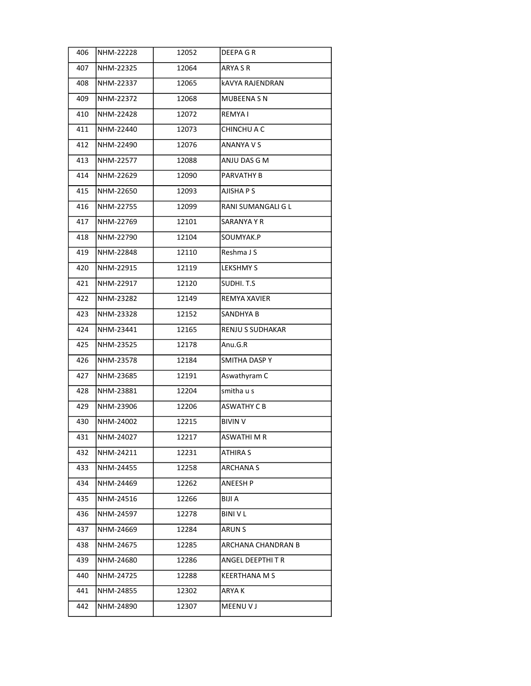| 406 | NHM-22228 | 12052 | DEEPA GR           |
|-----|-----------|-------|--------------------|
| 407 | NHM-22325 | 12064 | ARYA S R           |
| 408 | NHM-22337 | 12065 | kAVYA RAJENDRAN    |
| 409 | NHM-22372 | 12068 | MUBEENA S N        |
| 410 | NHM-22428 | 12072 | REMYA I            |
| 411 | NHM-22440 | 12073 | CHINCHU A C        |
| 412 | NHM-22490 | 12076 | ANANYA V S         |
| 413 | NHM-22577 | 12088 | ANJU DAS G M       |
| 414 | NHM-22629 | 12090 | PARVATHY B         |
| 415 | NHM-22650 | 12093 | AJISHA P S         |
| 416 | NHM-22755 | 12099 | RANI SUMANGALI G L |
| 417 | NHM-22769 | 12101 | SARANYA Y R        |
| 418 | NHM-22790 | 12104 | SOUMYAK.P          |
| 419 | NHM-22848 | 12110 | Reshma J S         |
| 420 | NHM-22915 | 12119 | <b>LEKSHMY S</b>   |
| 421 | NHM-22917 | 12120 | SUDHI.T.S          |
| 422 | NHM-23282 | 12149 | REMYA XAVIER       |
| 423 | NHM-23328 | 12152 | SANDHYA B          |
| 424 | NHM-23441 | 12165 | RENJU S SUDHAKAR   |
| 425 | NHM-23525 | 12178 | Anu.G.R            |
| 426 | NHM-23578 | 12184 | SMITHA DASP Y      |
| 427 | NHM-23685 | 12191 | Aswathyram C       |
| 428 | NHM-23881 | 12204 | smitha u s         |
| 429 | NHM-23906 | 12206 | <b>ASWATHY C B</b> |
| 430 | NHM-24002 | 12215 | <b>BIVIN V</b>     |
| 431 | NHM-24027 | 12217 | <b>ASWATHIMR</b>   |
| 432 | NHM-24211 | 12231 | ATHIRA S           |
| 433 | NHM-24455 | 12258 | ARCHANA S          |
| 434 | NHM-24469 | 12262 | ANEESH P           |
| 435 | NHM-24516 | 12266 | BIJI A             |
| 436 | NHM-24597 | 12278 | <b>BINI V L</b>    |
| 437 | NHM-24669 | 12284 | ARUN S             |
| 438 | NHM-24675 | 12285 | ARCHANA CHANDRAN B |
| 439 | NHM-24680 | 12286 | ANGEL DEEPTHI T R  |
| 440 | NHM-24725 | 12288 | KEERTHANA M S      |
| 441 | NHM-24855 | 12302 | ARYA K             |
| 442 | NHM-24890 | 12307 | MEENU V J          |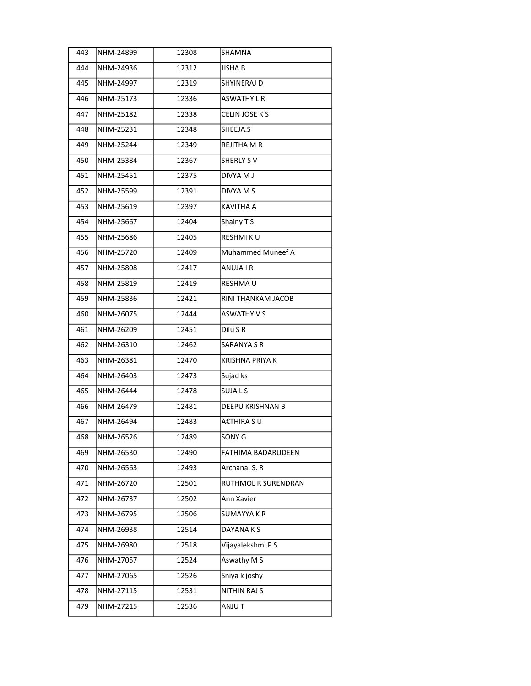| 443 | NHM-24899 | 12308 | SHAMNA                  |
|-----|-----------|-------|-------------------------|
| 444 | NHM-24936 | 12312 | JISHA B                 |
| 445 | NHM-24997 | 12319 | SHYINERAJ D             |
| 446 | NHM-25173 | 12336 | <b>ASWATHY L R</b>      |
| 447 | NHM-25182 | 12338 | CELIN JOSE K S          |
| 448 | NHM-25231 | 12348 | SHEEJA.S                |
| 449 | NHM-25244 | 12349 | REJITHA M R             |
| 450 | NHM-25384 | 12367 | SHERLY SV               |
| 451 | NHM-25451 | 12375 | DIVYA M J               |
| 452 | NHM-25599 | 12391 | DIVYA M S               |
| 453 | NHM-25619 | 12397 | KAVITHA A               |
| 454 | NHM-25667 | 12404 | Shainy TS               |
| 455 | NHM-25686 | 12405 | RESHMI KU               |
| 456 | NHM-25720 | 12409 | Muhammed Muneef A       |
| 457 | NHM-25808 | 12417 | ANUJA I R               |
| 458 | NHM-25819 | 12419 | RESHMA U                |
| 459 | NHM-25836 | 12421 | RINI THANKAM JACOB      |
| 460 | NHM-26075 | 12444 | <b>ASWATHY V S</b>      |
| 461 | NHM-26209 | 12451 | Dilu S R                |
| 462 | NHM-26310 | 12462 | <b>SARANYA S R</b>      |
| 463 | NHM-26381 | 12470 | KRISHNA PRIYA K         |
| 464 | NHM-26403 | 12473 | Sujad ks                |
| 465 | NHM-26444 | 12478 | SUJA L S                |
| 466 | NHM-26479 | 12481 | <b>DEEPU KRISHNAN B</b> |
| 467 | NHM-26494 | 12483 | ÀTHIRA S U              |
| 468 | NHM-26526 | 12489 | SONY G                  |
| 469 | NHM-26530 | 12490 | FATHIMA BADARUDEEN      |
| 470 | NHM-26563 | 12493 | Archana. S. R           |
| 471 | NHM-26720 | 12501 | RUTHMOL R SURENDRAN     |
| 472 | NHM-26737 | 12502 | Ann Xavier              |
| 473 | NHM-26795 | 12506 | SUMAYYA K R             |
| 474 | NHM-26938 | 12514 | DAYANA K S              |
| 475 | NHM-26980 | 12518 | Vijayalekshmi P S       |
| 476 | NHM-27057 | 12524 | Aswathy M S             |
| 477 | NHM-27065 | 12526 | Sniya k joshy           |
| 478 | NHM-27115 | 12531 | NITHIN RAJ S            |
| 479 | NHM-27215 | 12536 | ANJU T                  |